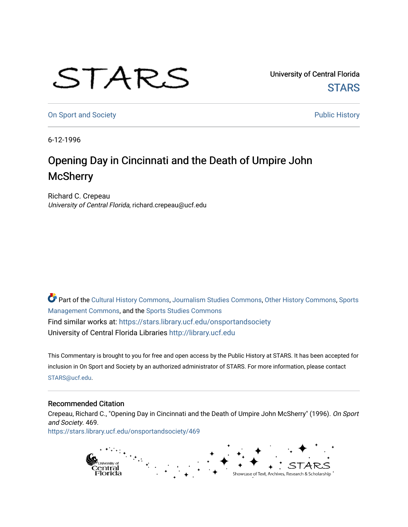## STARS

University of Central Florida **STARS** 

[On Sport and Society](https://stars.library.ucf.edu/onsportandsociety) **Public History** Public History

6-12-1996

## Opening Day in Cincinnati and the Death of Umpire John **McSherry**

Richard C. Crepeau University of Central Florida, richard.crepeau@ucf.edu

Part of the [Cultural History Commons](http://network.bepress.com/hgg/discipline/496?utm_source=stars.library.ucf.edu%2Fonsportandsociety%2F469&utm_medium=PDF&utm_campaign=PDFCoverPages), [Journalism Studies Commons,](http://network.bepress.com/hgg/discipline/333?utm_source=stars.library.ucf.edu%2Fonsportandsociety%2F469&utm_medium=PDF&utm_campaign=PDFCoverPages) [Other History Commons,](http://network.bepress.com/hgg/discipline/508?utm_source=stars.library.ucf.edu%2Fonsportandsociety%2F469&utm_medium=PDF&utm_campaign=PDFCoverPages) [Sports](http://network.bepress.com/hgg/discipline/1193?utm_source=stars.library.ucf.edu%2Fonsportandsociety%2F469&utm_medium=PDF&utm_campaign=PDFCoverPages) [Management Commons](http://network.bepress.com/hgg/discipline/1193?utm_source=stars.library.ucf.edu%2Fonsportandsociety%2F469&utm_medium=PDF&utm_campaign=PDFCoverPages), and the [Sports Studies Commons](http://network.bepress.com/hgg/discipline/1198?utm_source=stars.library.ucf.edu%2Fonsportandsociety%2F469&utm_medium=PDF&utm_campaign=PDFCoverPages) Find similar works at: <https://stars.library.ucf.edu/onsportandsociety> University of Central Florida Libraries [http://library.ucf.edu](http://library.ucf.edu/) 

This Commentary is brought to you for free and open access by the Public History at STARS. It has been accepted for inclusion in On Sport and Society by an authorized administrator of STARS. For more information, please contact [STARS@ucf.edu](mailto:STARS@ucf.edu).

## Recommended Citation

Crepeau, Richard C., "Opening Day in Cincinnati and the Death of Umpire John McSherry" (1996). On Sport and Society. 469.

[https://stars.library.ucf.edu/onsportandsociety/469](https://stars.library.ucf.edu/onsportandsociety/469?utm_source=stars.library.ucf.edu%2Fonsportandsociety%2F469&utm_medium=PDF&utm_campaign=PDFCoverPages)

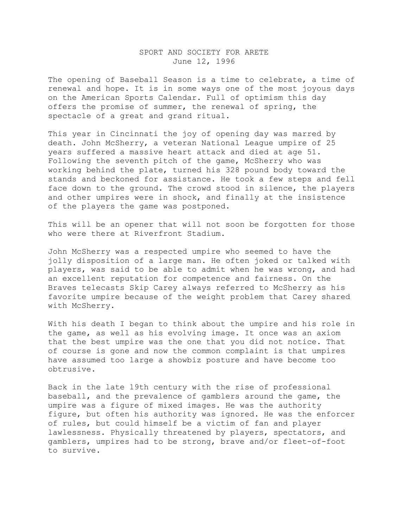## SPORT AND SOCIETY FOR ARETE June 12, 1996

The opening of Baseball Season is a time to celebrate, a time of renewal and hope. It is in some ways one of the most joyous days on the American Sports Calendar. Full of optimism this day offers the promise of summer, the renewal of spring, the spectacle of a great and grand ritual.

This year in Cincinnati the joy of opening day was marred by death. John McSherry, a veteran National League umpire of 25 years suffered a massive heart attack and died at age 51. Following the seventh pitch of the game, McSherry who was working behind the plate, turned his 328 pound body toward the stands and beckoned for assistance. He took a few steps and fell face down to the ground. The crowd stood in silence, the players and other umpires were in shock, and finally at the insistence of the players the game was postponed.

This will be an opener that will not soon be forgotten for those who were there at Riverfront Stadium.

John McSherry was a respected umpire who seemed to have the jolly disposition of a large man. He often joked or talked with players, was said to be able to admit when he was wrong, and had an excellent reputation for competence and fairness. On the Braves telecasts Skip Carey always referred to McSherry as his favorite umpire because of the weight problem that Carey shared with McSherry.

With his death I began to think about the umpire and his role in the game, as well as his evolving image. It once was an axiom that the best umpire was the one that you did not notice. That of course is gone and now the common complaint is that umpires have assumed too large a showbiz posture and have become too obtrusive.

Back in the late 19th century with the rise of professional baseball, and the prevalence of gamblers around the game, the umpire was a figure of mixed images. He was the authority figure, but often his authority was ignored. He was the enforcer of rules, but could himself be a victim of fan and player lawlessness. Physically threatened by players, spectators, and gamblers, umpires had to be strong, brave and/or fleet-of-foot to survive.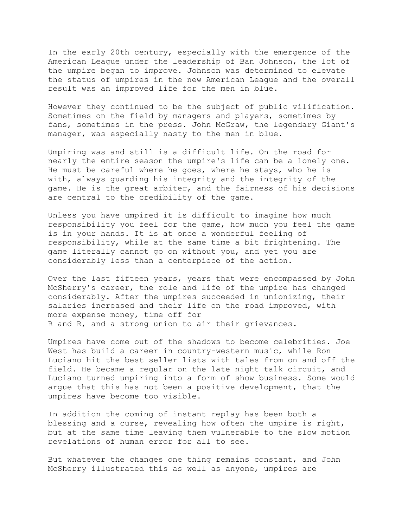In the early 20th century, especially with the emergence of the American League under the leadership of Ban Johnson, the lot of the umpire began to improve. Johnson was determined to elevate the status of umpires in the new American League and the overall result was an improved life for the men in blue.

However they continued to be the subject of public vilification. Sometimes on the field by managers and players, sometimes by fans, sometimes in the press. John McGraw, the legendary Giant's manager, was especially nasty to the men in blue.

Umpiring was and still is a difficult life. On the road for nearly the entire season the umpire's life can be a lonely one. He must be careful where he goes, where he stays, who he is with, always guarding his integrity and the integrity of the game. He is the great arbiter, and the fairness of his decisions are central to the credibility of the game.

Unless you have umpired it is difficult to imagine how much responsibility you feel for the game, how much you feel the game is in your hands. It is at once a wonderful feeling of responsibility, while at the same time a bit frightening. The game literally cannot go on without you, and yet you are considerably less than a centerpiece of the action.

Over the last fifteen years, years that were encompassed by John McSherry's career, the role and life of the umpire has changed considerably. After the umpires succeeded in unionizing, their salaries increased and their life on the road improved, with more expense money, time off for R and R, and a strong union to air their grievances.

Umpires have come out of the shadows to become celebrities. Joe West has build a career in country-western music, while Ron Luciano hit the best seller lists with tales from on and off the field. He became a regular on the late night talk circuit, and Luciano turned umpiring into a form of show business. Some would argue that this has not been a positive development, that the umpires have become too visible.

In addition the coming of instant replay has been both a blessing and a curse, revealing how often the umpire is right, but at the same time leaving them vulnerable to the slow motion revelations of human error for all to see.

But whatever the changes one thing remains constant, and John McSherry illustrated this as well as anyone, umpires are